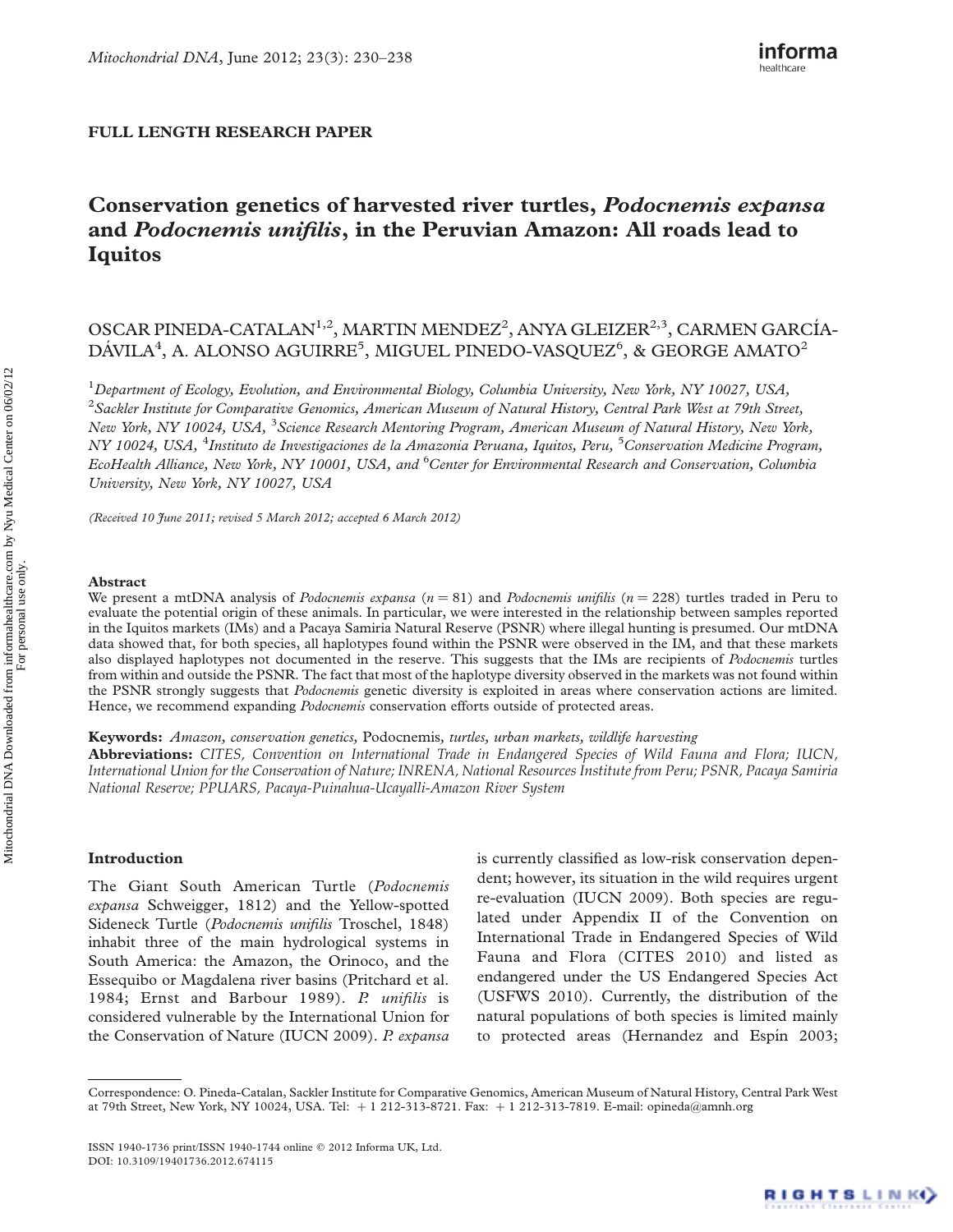## FULL LENGTH RESEARCH PAPER

# Conservation genetics of harvested river turtles, Podocnemis expansa and Podocnemis unifilis, in the Peruvian Amazon: All roads lead to Iquitos

## OSCAR PINEDA-CATALAN<sup>1,2</sup>, MARTIN MENDEZ<sup>2</sup>, ANYA GLEIZER<sup>2,3</sup>, CARMEN GARCÍA-DÁVILA $^4$ , A. ALONSO AGUIRRE $^5$ , MIGUEL PINEDO-VASQUEZ $^6$ , & GEORGE AMATO $^2$

 $^1$ Department of Ecology, Evolution, and Environmental Biology, Columbia University, New York, NY 10027, USA,  $^2$ Sackler Institute for Comparative Genomics, American Museum of Natural History, Central Park West at 79th Street, New York, NY 10024, USA, <sup>3</sup>Science Research Mentoring Program, American Museum of Natural History, New York, NY 10024, USA, <sup>4</sup>Instituto de Investigaciones de la Amazonia Peruana, Iquitos, Peru, <sup>5</sup>Conservation Medicine Program, EcoHealth Alliance, New York, NY 10001, USA, and <sup>6</sup>Center for Environmental Research and Conservation, Columbia University, New York, NY 10027, USA

(Received 10 June 2011; revised 5 March 2012; accepted 6 March 2012)

#### Abstract

We present a mtDNA analysis of Podocnemis expansa ( $n = 81$ ) and Podocnemis unifilis ( $n = 228$ ) turtles traded in Peru to evaluate the potential origin of these animals. In particular, we were interested in the relationship between samples reported in the Iquitos markets (IMs) and a Pacaya Samiria Natural Reserve (PSNR) where illegal hunting is presumed. Our mtDNA data showed that, for both species, all haplotypes found within the PSNR were observed in the IM, and that these markets also displayed haplotypes not documented in the reserve. This suggests that the IMs are recipients of *Podocnemis* turtles from within and outside the PSNR. The fact that most of the haplotype diversity observed in the markets was not found within the PSNR strongly suggests that Podocnemis genetic diversity is exploited in areas where conservation actions are limited. Hence, we recommend expanding *Podocnemis* conservation efforts outside of protected areas.

**Keywords:** Amazon, conservation genetics, Podocnemis, turtles, urban markets, wildlife harvesting

**Abbreviations:** CITES, Convention on International Trade in Endangered Species of Wild Fauna and Flora; IUCN, International Union for the Conservation of Nature; INRENA, National Resources Institute from Peru; PSNR, Pacaya Samiria National Reserve; PPUARS, Pacaya-Puinahua-Ucayalli-Amazon River System

## Introduction

The Giant South American Turtle (Podocnemis expansa Schweigger, 1812) and the Yellow-spotted Sideneck Turtle (Podocnemis unifilis Troschel, 1848) inhabit three of the main hydrological systems in South America: the Amazon, the Orinoco, and the Essequibo or Magdalena river basins (Pritchard et al. 1984; Ernst and Barbour 1989). P. unifilis is considered vulnerable by the International Union for the Conservation of Nature (IUCN 2009). P. expansa is currently classified as low-risk conservation dependent; however, its situation in the wild requires urgent re-evaluation (IUCN 2009). Both species are regulated under Appendix II of the Convention on International Trade in Endangered Species of Wild Fauna and Flora (CITES 2010) and listed as endangered under the US Endangered Species Act (USFWS 2010). Currently, the distribution of the natural populations of both species is limited mainly to protected areas (Hernandez and Espín 2003;

Correspondence: O. Pineda-Catalan, Sackler Institute for Comparative Genomics, American Museum of Natural History, Central Park West at 79th Street, New York, NY 10024, USA. Tel:  $+1$  212-313-8721. Fax:  $+1$  212-313-7819. E-mail: opineda@amnh.org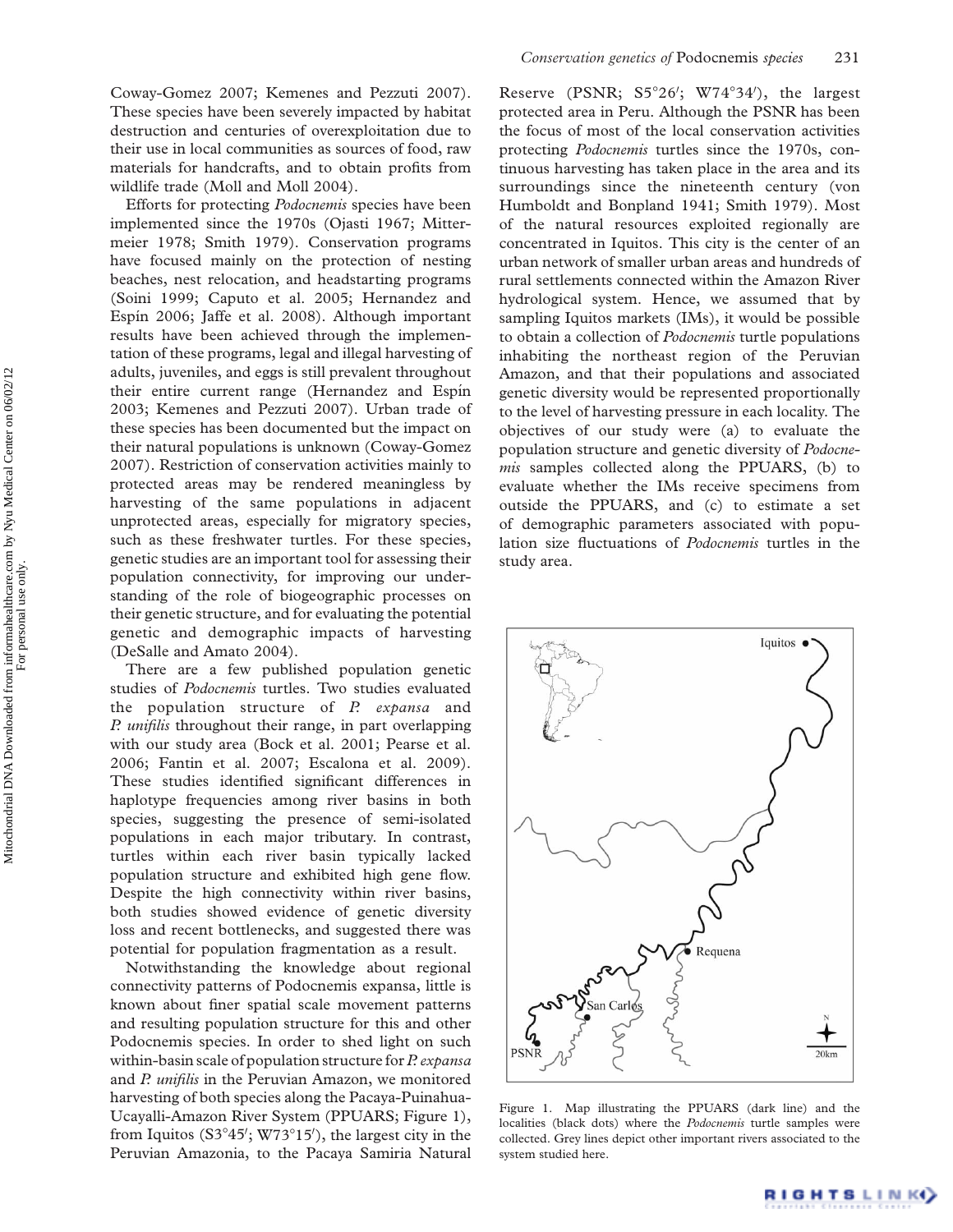Efforts for protecting Podocnemis species have been implemented since the 1970s (Ojasti 1967; Mittermeier 1978; Smith 1979). Conservation programs have focused mainly on the protection of nesting beaches, nest relocation, and headstarting programs (Soini 1999; Caputo et al. 2005; Hernandez and Espín 2006; Jaffe et al. 2008). Although important results have been achieved through the implementation of these programs, legal and illegal harvesting of adults, juveniles, and eggs is still prevalent throughout their entire current range (Hernandez and Espín 2003; Kemenes and Pezzuti 2007). Urban trade of these species has been documented but the impact on their natural populations is unknown (Coway-Gomez 2007). Restriction of conservation activities mainly to protected areas may be rendered meaningless by harvesting of the same populations in adjacent unprotected areas, especially for migratory species, such as these freshwater turtles. For these species, genetic studies are an important tool for assessing their population connectivity, for improving our understanding of the role of biogeographic processes on their genetic structure, and for evaluating the potential genetic and demographic impacts of harvesting (DeSalle and Amato 2004).

There are a few published population genetic studies of *Podocnemis* turtles. Two studies evaluated the population structure of  $P$ . expansa and P. *unifilis* throughout their range, in part overlapping with our study area (Bock et al. 2001; Pearse et al. 2006; Fantin et al. 2007; Escalona et al. 2009). These studies identified significant differences in haplotype frequencies among river basins in both species, suggesting the presence of semi-isolated populations in each major tributary. In contrast, turtles within each river basin typically lacked population structure and exhibited high gene flow. Despite the high connectivity within river basins, both studies showed evidence of genetic diversity loss and recent bottlenecks, and suggested there was potential for population fragmentation as a result.

Notwithstanding the knowledge about regional connectivity patterns of Podocnemis expansa, little is known about finer spatial scale movement patterns and resulting population structure for this and other Podocnemis species. In order to shed light on such within-basin scale of population structure for P. expansa and P. unifilis in the Peruvian Amazon, we monitored harvesting of both species along the Pacaya-Puinahua-Ucayalli-Amazon River System (PPUARS; Figure 1), from Iquitos ( $S3°45'$ ; W73°15'), the largest city in the Peruvian Amazonia, to the Pacaya Samiria Natural

Reserve (PSNR; S5°26'; W74°34'), the largest protected area in Peru. Although the PSNR has been the focus of most of the local conservation activities protecting Podocnemis turtles since the 1970s, continuous harvesting has taken place in the area and its surroundings since the nineteenth century (von Humboldt and Bonpland 1941; Smith 1979). Most of the natural resources exploited regionally are concentrated in Iquitos. This city is the center of an urban network of smaller urban areas and hundreds of rural settlements connected within the Amazon River hydrological system. Hence, we assumed that by sampling Iquitos markets (IMs), it would be possible to obtain a collection of Podocnemis turtle populations inhabiting the northeast region of the Peruvian Amazon, and that their populations and associated genetic diversity would be represented proportionally to the level of harvesting pressure in each locality. The objectives of our study were (a) to evaluate the population structure and genetic diversity of Podocnemis samples collected along the PPUARS, (b) to evaluate whether the IMs receive specimens from outside the PPUARS, and (c) to estimate a set of demographic parameters associated with population size fluctuations of Podocnemis turtles in the study area.



Figure 1. Map illustrating the PPUARS (dark line) and the localities (black dots) where the Podocnemis turtle samples were collected. Grey lines depict other important rivers associated to the system studied here.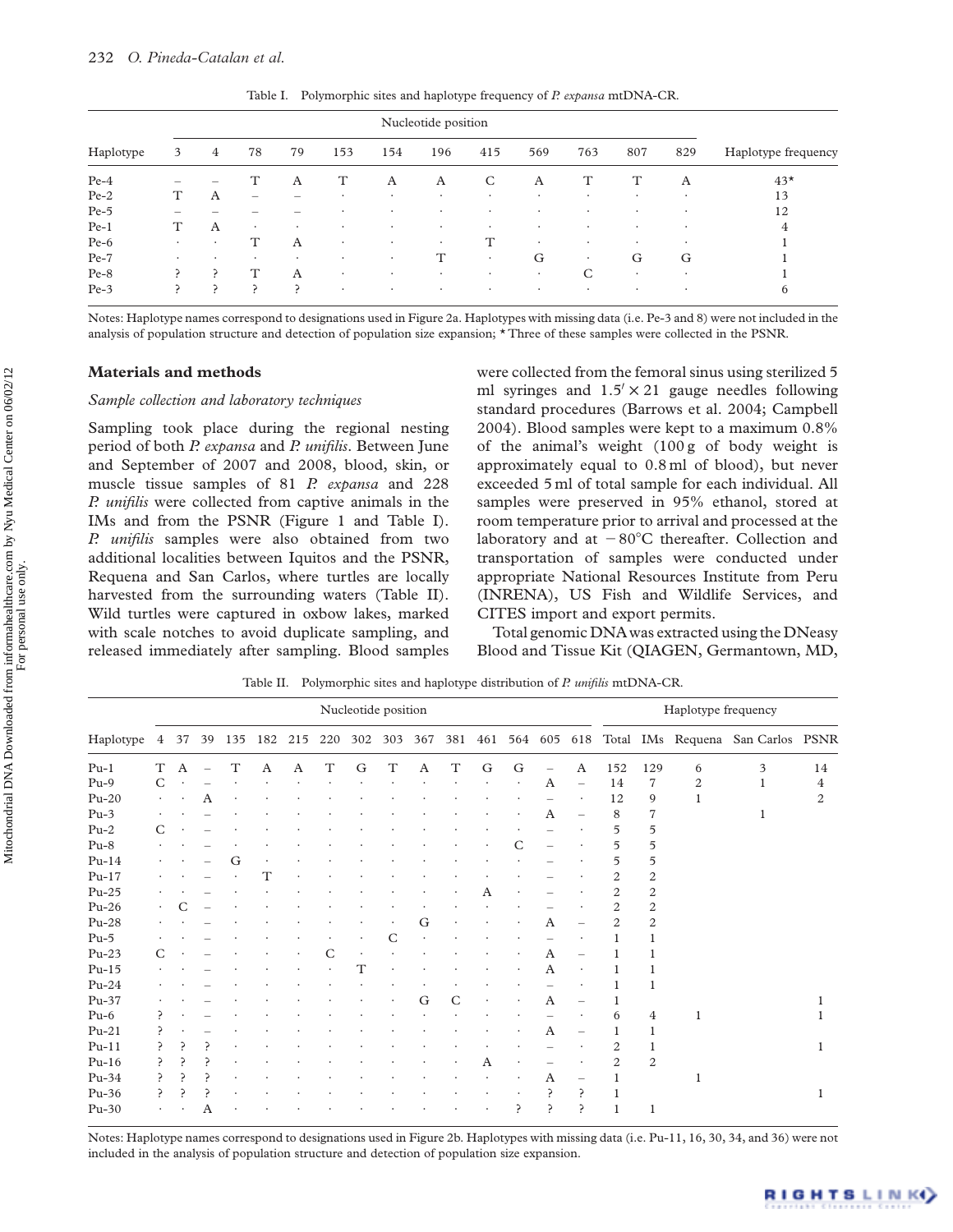| Haplotype | 3                        | 4       | 78                       | 79      | 153     | 154     | 196       | 415     | 569       | 763       | 807     | 829       | Haplotype frequency |
|-----------|--------------------------|---------|--------------------------|---------|---------|---------|-----------|---------|-----------|-----------|---------|-----------|---------------------|
| $Pe-4$    | $\overline{\phantom{0}}$ |         | T                        | A       | т       | A       | A         | C       | A         |           | т       | А         | $43*$               |
| $Pe-2$    |                          | A       | $\overline{\phantom{0}}$ |         | $\cdot$ | ٠       | $\cdot$   | ٠       | $\cdot$   | $\cdot$   | $\cdot$ |           | 13                  |
| $Pe-5$    |                          |         |                          |         |         |         | $\cdot$   | ٠       | $\cdot$   | $\bullet$ | ٠       | $\cdot$   | 12                  |
| $Pe-1$    | T                        | A       | $\bullet$                | $\cdot$ | $\cdot$ | $\cdot$ | $\bullet$ | $\cdot$ | ٠         | $\bullet$ | ٠       |           | 4                   |
| $Pe-6$    | $\cdot$                  |         | T                        | A       | $\cdot$ | ٠       | $\bullet$ | T       | $\cdot$   | $\cdot$   | ٠       |           |                     |
| $Pe-7$    | ٠                        | $\cdot$ | $\cdot$                  | $\cdot$ | ٠       | $\cdot$ | T         | ٠       | G         | $\bullet$ | G       | G         |                     |
| $Pe-8$    |                          |         | Т                        | A       | $\cdot$ | $\cdot$ | $\cdot$   | ٠       | $\bullet$ | C         | ٠       | $\bullet$ |                     |
| $Pe-3$    | ₽                        | ╭       | ╭                        | ╭       | $\cdot$ | $\cdot$ | $\cdot$   | ٠       | $\cdot$   | $\cdot$   | ٠       | $\bullet$ | 6                   |

Table I. Polymorphic sites and haplotype frequency of P. expansa mtDNA-CR.

Notes: Haplotype names correspond to designations used in Figure 2a. Haplotypes with missing data (i.e. Pe-3 and 8) were not included in the analysis of population structure and detection of population size expansion; \* Three of these samples were collected in the PSNR.

## Materials and methods

### Sample collection and laboratory techniques

Sampling took place during the regional nesting period of both P. expansa and P. unifilis. Between June and September of 2007 and 2008, blood, skin, or muscle tissue samples of 81 P. expansa and 228 P. unifilis were collected from captive animals in the IMs and from the PSNR (Figure 1 and Table I). P. unifilis samples were also obtained from two additional localities between Iquitos and the PSNR, Requena and San Carlos, where turtles are locally harvested from the surrounding waters (Table II). Wild turtles were captured in oxbow lakes, marked with scale notches to avoid duplicate sampling, and released immediately after sampling. Blood samples

were collected from the femoral sinus using sterilized 5 ml syringes and  $1.5 \times 21$  gauge needles following standard procedures (Barrows et al. 2004; Campbell 2004). Blood samples were kept to a maximum 0.8% of the animal's weight (100 g of body weight is approximately equal to 0.8 ml of blood), but never exceeded 5 ml of total sample for each individual. All samples were preserved in 95% ethanol, stored at room temperature prior to arrival and processed at the laboratory and at  $-80^{\circ}$ C thereafter. Collection and transportation of samples were conducted under appropriate National Resources Institute from Peru (INRENA), US Fish and Wildlife Services, and CITES import and export permits.

Total genomic DNA was extracted using the DNeasy Blood and Tissue Kit (QIAGEN, Germantown, MD,

|           |                | Nucleotide position |    |             |     |     |             |     |             |     |             |   |         |     | Haplotype frequency |                |                  |              |                                   |              |
|-----------|----------------|---------------------|----|-------------|-----|-----|-------------|-----|-------------|-----|-------------|---|---------|-----|---------------------|----------------|------------------|--------------|-----------------------------------|--------------|
| Haplotype | $\overline{4}$ | 37                  | 39 | 135         | 182 | 215 | 220         | 302 | 303         | 367 | 381         |   | 461 564 | 605 | 618                 |                |                  |              | Total IMs Requena San Carlos PSNR |              |
| $Pu-1$    | T              | A                   |    | $\mathbf T$ | A   | A   | $\mathbf T$ | G   | $\mathbf T$ | A   | $\mathbf T$ | G | G       |     | A                   | 152            | 129              | 6            | 3                                 | 14           |
| $Pu-9$    | C              |                     |    |             |     |     |             |     |             |     |             |   |         | A   |                     | 14             | $\overline{7}$   | 2            | 1                                 | 4            |
| $Pu-20$   | $\bullet$      |                     | A  |             |     |     |             |     |             |     |             |   |         |     |                     | 12             | 9                | 1            |                                   | 2            |
| $Pu-3$    |                |                     |    |             |     |     |             |     |             |     |             |   |         | A   |                     | 8              | 7                |              |                                   |              |
| $Pu-2$    | C              |                     |    |             |     |     |             |     |             |     |             |   |         |     |                     | 5              | 5                |              |                                   |              |
| $Pu-8$    |                |                     |    |             |     |     |             |     |             |     |             |   | C       |     |                     | 5              | 5                |              |                                   |              |
| $Pu-14$   |                |                     |    | G           |     |     |             |     |             |     |             |   |         |     |                     | 5              | 5                |              |                                   |              |
| $Pu-17$   |                |                     |    |             | Т   |     |             |     |             |     |             |   |         |     |                     | 2              | 2                |              |                                   |              |
| $Pu-25$   |                |                     |    |             |     |     |             |     |             |     |             | A |         |     |                     | $\overline{2}$ | $\boldsymbol{2}$ |              |                                   |              |
| $Pu-26$   | $\bullet$      |                     |    |             |     |     |             |     |             |     |             |   |         |     |                     | 2              | 2                |              |                                   |              |
| $Pu-28$   |                |                     |    |             |     |     |             |     |             | G   |             |   |         | A   |                     | 2              | $\overline{c}$   |              |                                   |              |
| $Pu-5$    |                |                     |    |             |     |     |             |     | C           |     |             |   |         |     |                     |                |                  |              |                                   |              |
| $Pu-23$   | C              |                     |    |             |     |     |             |     |             |     |             |   |         | Α   |                     |                |                  |              |                                   |              |
| $Pu-15$   |                |                     |    |             |     |     |             | Т   |             |     |             |   |         | A   |                     |                |                  |              |                                   |              |
| $Pu-24$   |                |                     |    |             |     |     |             |     |             |     |             |   |         |     |                     |                |                  |              |                                   |              |
| Pu-37     |                |                     |    |             |     |     |             |     |             | G   | C           |   |         | A   |                     |                |                  |              |                                   |              |
| $Pu-6$    |                |                     |    |             |     |     |             |     |             |     |             |   |         |     |                     | 6              | $\bf 4$          | $\mathbf{1}$ |                                   |              |
| $Pu-21$   |                |                     |    |             |     |     |             |     |             |     |             |   |         | A   |                     |                | 1                |              |                                   |              |
| $Pu-11$   |                |                     |    |             |     |     |             |     |             |     |             |   |         |     |                     | 2              |                  |              |                                   | $\mathbf{1}$ |
| $Pu-16$   |                |                     |    |             |     |     |             |     |             |     |             | A |         |     |                     | 2              | $\overline{c}$   |              |                                   |              |
| $Pu-34$   |                |                     |    |             |     |     |             |     |             |     |             |   |         | A   |                     |                |                  | $\mathbf{1}$ |                                   |              |
| $Pu-36$   | 冫              |                     |    |             |     |     |             |     |             |     |             |   |         |     | P                   |                |                  |              |                                   | 1            |
| $Pu-30$   |                |                     | Α  |             |     |     |             |     |             |     |             |   |         |     | ς                   |                | 1                |              |                                   |              |

Table II. Polymorphic sites and haplotype distribution of P. unifilis mtDNA-CR.

Notes: Haplotype names correspond to designations used in Figure 2b. Haplotypes with missing data (i.e. Pu-11, 16, 30, 34, and 36) were not included in the analysis of population structure and detection of population size expansion.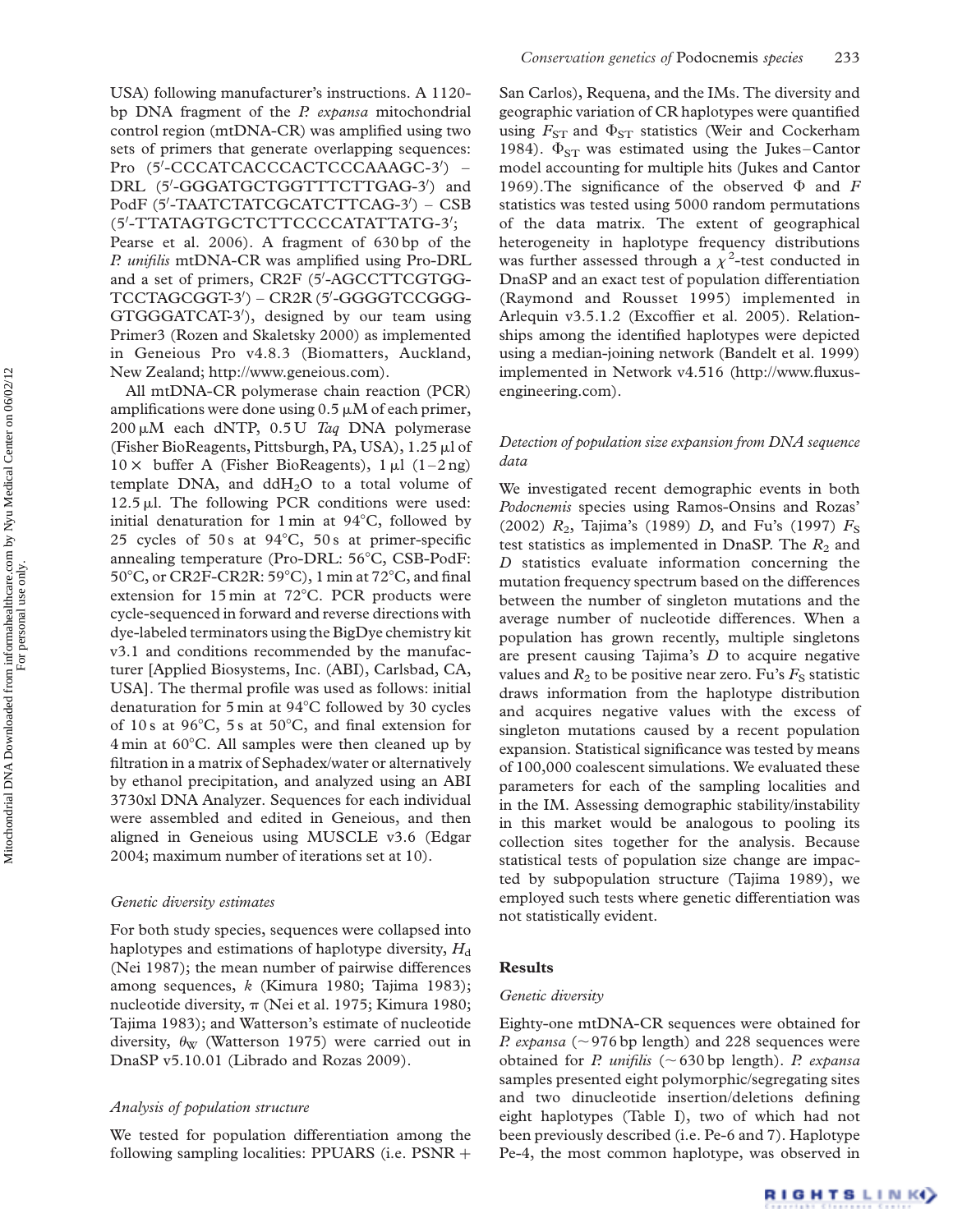USA) following manufacturer's instructions. A 1120 bp DNA fragment of the  $P$ . expansa mitochondrial control region (mtDNA-CR) was amplified using two sets of primers that generate overlapping sequences: Pro (5'-CCCATCACCCACTCCCAAAGC-3') -DRL (5'-GGGATGCTGGTTTCTTGAG-3') and PodF (5'-TAATCTATCGCATCTTCAG-3') - CSB (5'-TTATAGTGCTCTTCCCCATATTATG-3'; Pearse et al. 2006). A fragment of 630 bp of the P. unifilis mtDNA-CR was amplified using Pro-DRL and a set of primers, CR2F (5'-AGCCTTCGTGG-TCCTAGCGGT-3') - CR2R (5'-GGGGTCCGGG-GTGGGATCAT-3'), designed by our team using Primer3 (Rozen and Skaletsky 2000) as implemented in Geneious Pro v4.8.3 (Biomatters, Auckland, New Zealand; http://www.geneious.com).

All mtDNA-CR polymerase chain reaction (PCR) amplifications were done using  $0.5 \mu M$  of each primer, 200  $\mu$ M each dNTP, 0.5 U Taq DNA polymerase (Fisher BioReagents, Pittsburgh, PA, USA),  $1.25 \mu$ l of  $10 \times$  buffer A (Fisher BioReagents), 1  $\mu$ l (1–2 ng) template DNA, and  $ddH<sub>2</sub>O$  to a total volume of  $12.5 \mu$ l. The following PCR conditions were used: initial denaturation for 1 min at  $94^{\circ}$ C, followed by 25 cycles of 50 s at  $94^{\circ}$ C, 50 s at primer-specific annealing temperature (Pro-DRL: 56°C, CSB-PodF: 50°C, or CR2F-CR2R: 59°C), 1 min at  $72^{\circ}$ C, and final extension for  $15 \text{ min}$  at  $72^{\circ}$ C. PCR products were cycle-sequenced in forward and reverse directions with dye-labeled terminators using the BigDye chemistry kit v3.1 and conditions recommended by the manufacturer [Applied Biosystems, Inc. (ABI), Carlsbad, CA, USA]. The thermal profile was used as follows: initial denaturation for 5 min at  $94^{\circ}$ C followed by 30 cycles of 10 s at 96 $\degree$ C, 5 s at 50 $\degree$ C, and final extension for 4 min at 60°C. All samples were then cleaned up by filtration in a matrix of Sephadex/water or alternatively by ethanol precipitation, and analyzed using an ABI 3730xl DNA Analyzer. Sequences for each individual were assembled and edited in Geneious, and then aligned in Geneious using MUSCLE v3.6 (Edgar 2004; maximum number of iterations set at 10).

### Genetic diversity estimates

For both study species, sequences were collapsed into haplotypes and estimations of haplotype diversity,  $H_d$ (Nei 1987); the mean number of pairwise differences among sequences, k (Kimura 1980; Tajima 1983); nucleotide diversity,  $\pi$  (Nei et al. 1975; Kimura 1980; Tajima 1983); and Watterson's estimate of nucleotide diversity,  $\theta_{\rm W}$  (Watterson 1975) were carried out in DnaSP v5.10.01 (Librado and Rozas 2009).

#### Analysis of population structure

We tested for population differentiation among the following sampling localities: PPUARS (i.e.  $PSNR +$  San Carlos), Requena, and the IMs. The diversity and geographic variation of CR haplotypes were quantified using  $F_{ST}$  and  $\Phi_{ST}$  statistics (Weir and Cockerham 1984).  $\Phi_{ST}$  was estimated using the Jukes–Cantor model accounting for multiple hits (Jukes and Cantor 1969). The significance of the observed  $\Phi$  and F statistics was tested using 5000 random permutations of the data matrix. The extent of geographical heterogeneity in haplotype frequency distributions was further assessed through a  $\chi^2$ -test conducted in DnaSP and an exact test of population differentiation (Raymond and Rousset 1995) implemented in Arlequin v3.5.1.2 (Excoffier et al. 2005). Relationships among the identified haplotypes were depicted using a median-joining network (Bandelt et al. 1999) implemented in Network v4.516 (http://www.fluxusengineering.com).

## Detection of population size expansion from DNA sequence data

We investigated recent demographic events in both Podocnemis species using Ramos-Onsins and Rozas' (2002)  $R_2$ , Tajima's (1989) D, and Fu's (1997)  $F_S$ test statistics as implemented in DnaSP. The  $R_2$  and D statistics evaluate information concerning the mutation frequency spectrum based on the differences between the number of singleton mutations and the average number of nucleotide differences. When a population has grown recently, multiple singletons are present causing Tajima's  $D$  to acquire negative values and  $R_2$  to be positive near zero. Fu's  $F_S$  statistic draws information from the haplotype distribution and acquires negative values with the excess of singleton mutations caused by a recent population expansion. Statistical significance was tested by means of 100,000 coalescent simulations. We evaluated these parameters for each of the sampling localities and in the IM. Assessing demographic stability/instability in this market would be analogous to pooling its collection sites together for the analysis. Because statistical tests of population size change are impacted by subpopulation structure (Tajima 1989), we employed such tests where genetic differentiation was not statistically evident.

### Results

#### Genetic diversity

Eighty-one mtDNA-CR sequences were obtained for *P. expansa* ( $\sim$ 976 bp length) and 228 sequences were obtained for P. unifilis ( $\sim$  630 bp length). P. expansa samples presented eight polymorphic/segregating sites and two dinucleotide insertion/deletions defining eight haplotypes (Table I), two of which had not been previously described (i.e. Pe-6 and 7). Haplotype Pe-4, the most common haplotype, was observed in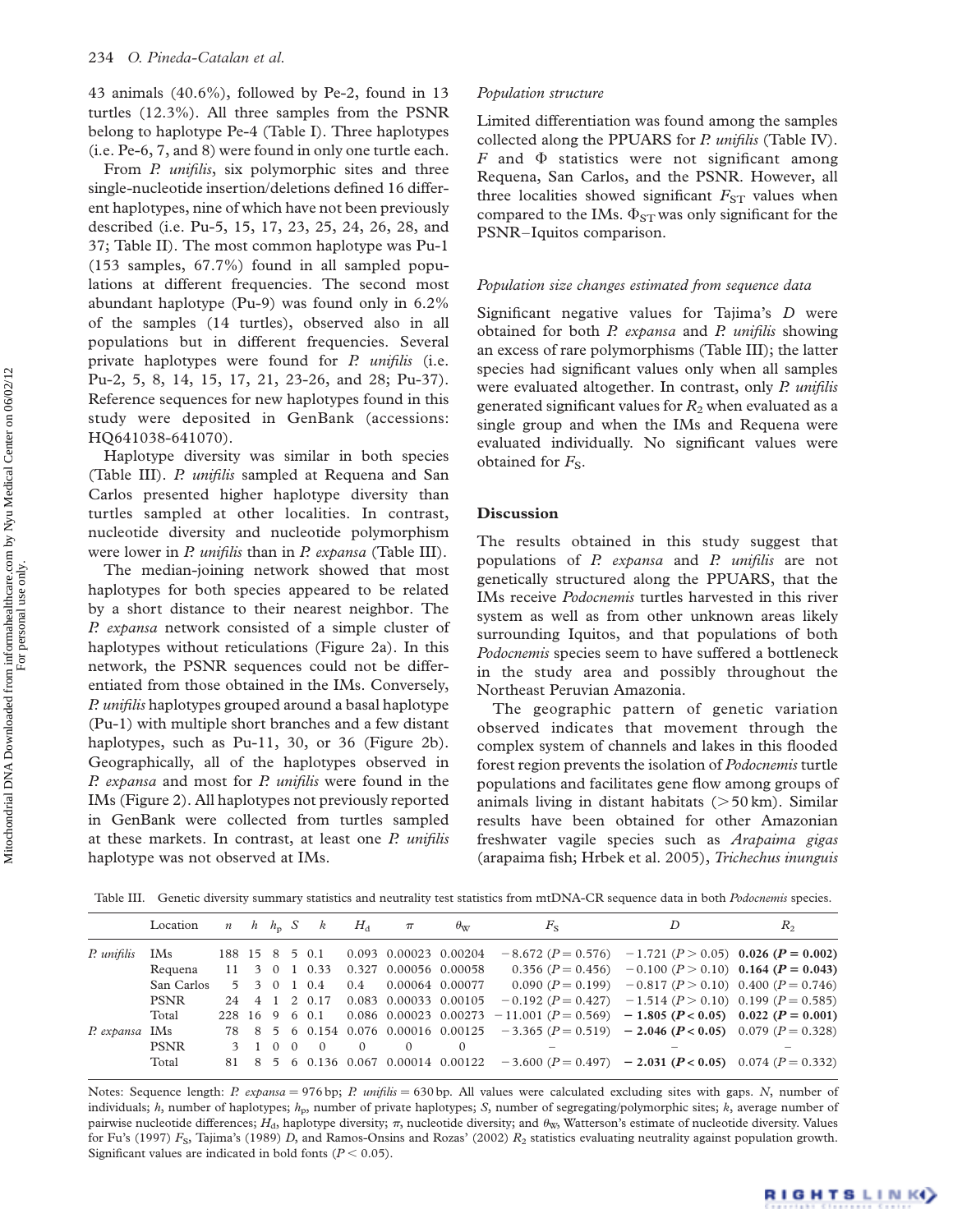43 animals (40.6%), followed by Pe-2, found in 13 turtles (12.3%). All three samples from the PSNR belong to haplotype Pe-4 (Table I). Three haplotypes (i.e. Pe-6, 7, and 8) were found in only one turtle each.

From P. unifilis, six polymorphic sites and three single-nucleotide insertion/deletions defined 16 different haplotypes, nine of which have not been previously described (i.e. Pu-5, 15, 17, 23, 25, 24, 26, 28, and 37; Table II). The most common haplotype was Pu-1 (153 samples, 67.7%) found in all sampled populations at different frequencies. The second most abundant haplotype (Pu-9) was found only in 6.2% of the samples (14 turtles), observed also in all populations but in different frequencies. Several private haplotypes were found for P. *unifilis* (i.e. Pu-2, 5, 8, 14, 15, 17, 21, 23-26, and 28; Pu-37). Reference sequences for new haplotypes found in this study were deposited in GenBank (accessions: HQ641038-641070).

Haplotype diversity was similar in both species (Table III). P. *unifilis* sampled at Requena and San Carlos presented higher haplotype diversity than turtles sampled at other localities. In contrast, nucleotide diversity and nucleotide polymorphism were lower in *P. unifilis* than in *P. expansa* (Table III).

The median-joining network showed that most haplotypes for both species appeared to be related by a short distance to their nearest neighbor. The P. expansa network consisted of a simple cluster of haplotypes without reticulations (Figure 2a). In this network, the PSNR sequences could not be differentiated from those obtained in the IMs. Conversely, P. *unifilis* haplotypes grouped around a basal haplotype (Pu-1) with multiple short branches and a few distant haplotypes, such as Pu-11, 30, or 36 (Figure 2b). Geographically, all of the haplotypes observed in P. expansa and most for P. unifilis were found in the IMs (Figure 2). All haplotypes not previously reported in GenBank were collected from turtles sampled at these markets. In contrast, at least one P. unifilis haplotype was not observed at IMs.

## Population structure

Limited differentiation was found among the samples collected along the PPUARS for P. unifilis (Table IV). F and  $\Phi$  statistics were not significant among Requena, San Carlos, and the PSNR. However, all three localities showed significant  $F_{ST}$  values when compared to the IMs.  $\Phi_{ST}$  was only significant for the PSNR–Iquitos comparison.

## Population size changes estimated from sequence data

Significant negative values for Tajima's D were obtained for both P. expansa and P. unifilis showing an excess of rare polymorphisms (Table III); the latter species had significant values only when all samples were evaluated altogether. In contrast, only P. unifilis generated significant values for  $R_2$  when evaluated as a single group and when the IMs and Requena were evaluated individually. No significant values were obtained for  $F_s$ .

## Discussion

The results obtained in this study suggest that populations of P. expansa and P. unifilis are not genetically structured along the PPUARS, that the IMs receive Podocnemis turtles harvested in this river system as well as from other unknown areas likely surrounding Iquitos, and that populations of both Podocnemis species seem to have suffered a bottleneck in the study area and possibly throughout the Northeast Peruvian Amazonia.

The geographic pattern of genetic variation observed indicates that movement through the complex system of channels and lakes in this flooded forest region prevents the isolation of *Podocnemis* turtle populations and facilitates gene flow among groups of animals living in distant habitats  $(>50 \text{ km})$ . Similar results have been obtained for other Amazonian freshwater vagile species such as Arapaima gigas (arapaima fish; Hrbek et al. 2005), Trichechus inunguis

Table III. Genetic diversity summary statistics and neutrality test statistics from mtDNA-CR sequence data in both Podocnemis species.

|                | Location    |  |  | $n \quad h \quad h_n \quad S \quad k$ | $H_{d}$  | $\pi$                                | $\theta_{\rm WZ}$                   | $F_{\rm S}$                                                                                        | D                                                                   | $R_{2}$ |
|----------------|-------------|--|--|---------------------------------------|----------|--------------------------------------|-------------------------------------|----------------------------------------------------------------------------------------------------|---------------------------------------------------------------------|---------|
| P. unifilis    | IMs         |  |  |                                       |          | 188 15 8 5 0.1 0.093 0.00023 0.00204 |                                     | $-8.672$ ( $P = 0.576$ ) $-1.721$ ( $P > 0.05$ ) 0.026 ( $P = 0.002$ )                             |                                                                     |         |
|                | Requena     |  |  |                                       |          |                                      | 11 3 0 1 0.33 0.327 0.00056 0.00058 |                                                                                                    | 0.356 ( $P = 0.456$ ) $-0.100$ ( $P > 0.10$ ) 0.164 ( $P = 0.043$ ) |         |
|                | San Carlos  |  |  |                                       |          |                                      | 5 3 0 1 0.4 0.4 0.00064 0.00077     |                                                                                                    | 0.090 $(P = 0.199)$ -0.817 $(P > 0.10)$ 0.400 $(P = 0.746)$         |         |
|                | <b>PSNR</b> |  |  |                                       |          |                                      |                                     | 24 4 1 2 0.17 0.083 0.00033 0.00105 $-0.192 (P = 0.427) -1.514 (P > 0.10)$ 0.199 ( $P = 0.585$ )   |                                                                     |         |
|                | Total       |  |  |                                       |          |                                      |                                     | 228 16 9 6 0.1 0.086 0.00023 0.00273 -11.001 $(P = 0.569)$ -1.805 $(P < 0.05)$ 0.022 $(P = 0.001)$ |                                                                     |         |
| P. expansa IMs |             |  |  |                                       |          |                                      |                                     | 78 8 5 6 0.154 0.076 0.00016 0.00125 -3.365 $(P = 0.519)$ - 2.046 $(P < 0.05)$ 0.079 $(P = 0.328)$ |                                                                     |         |
|                | <b>PSNR</b> |  |  | 3 1 0 0 0                             | $\Omega$ | $\Omega$                             | $\Omega$                            |                                                                                                    |                                                                     |         |
|                | Total       |  |  |                                       |          |                                      |                                     | 81 8 5 6 0.136 0.067 0.00014 0.00122 -3.600 $(P = 0.497)$ - 2.031 $(P < 0.05)$ 0.074 $(P = 0.332)$ |                                                                     |         |
|                |             |  |  |                                       |          |                                      |                                     |                                                                                                    |                                                                     |         |

Notes: Sequence length: P. expansa = 976 bp; P. unifilis = 630 bp. All values were calculated excluding sites with gaps. N, number of individuals; h, number of haplotypes;  $h_p$ , number of private haplotypes; S, number of segregating/polymorphic sites; k, average number of pairwise nucleotide differences;  $H_d$ , haplotype diversity;  $\pi$ , nucleotide diversity; and  $\theta_{\text{W2}}$ , Watterson's estimate of nucleotide diversity. Values for Fu's (1997)  $F_S$ , Tajima's (1989) D, and Ramos-Onsins and Rozas' (2002)  $R_2$  statistics evaluating neutrality against population growth. Significant values are indicated in bold fonts ( $P < 0.05$ ).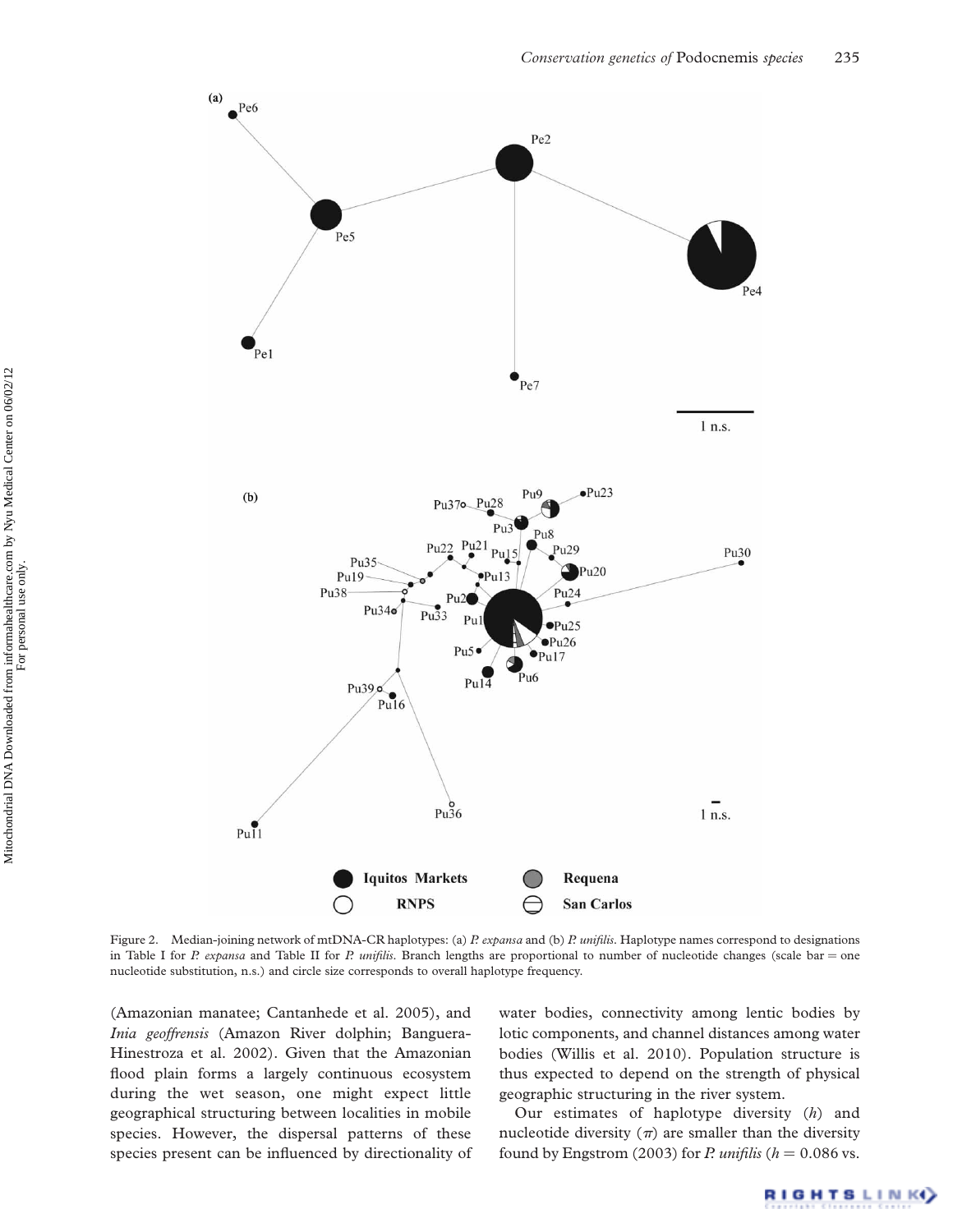

Figure 2. Median-joining network of mtDNA-CR haplotypes: (a) P. expansa and (b) P. unifilis. Haplotype names correspond to designations in Table I for P. expansa and Table II for P. unifilis. Branch lengths are proportional to number of nucleotide changes (scale bar = one nucleotide substitution, n.s.) and circle size corresponds to overall haplotype frequency.

(Amazonian manatee; Cantanhede et al. 2005), and Inia geoffrensis (Amazon River dolphin; Banguera-Hinestroza et al. 2002). Given that the Amazonian flood plain forms a largely continuous ecosystem during the wet season, one might expect little geographical structuring between localities in mobile species. However, the dispersal patterns of these species present can be influenced by directionality of water bodies, connectivity among lentic bodies by lotic components, and channel distances among water bodies (Willis et al. 2010). Population structure is thus expected to depend on the strength of physical geographic structuring in the river system.

Our estimates of haplotype diversity (h) and nucleotide diversity  $(\pi)$  are smaller than the diversity found by Engstrom (2003) for P. unifilis ( $h = 0.086$  vs.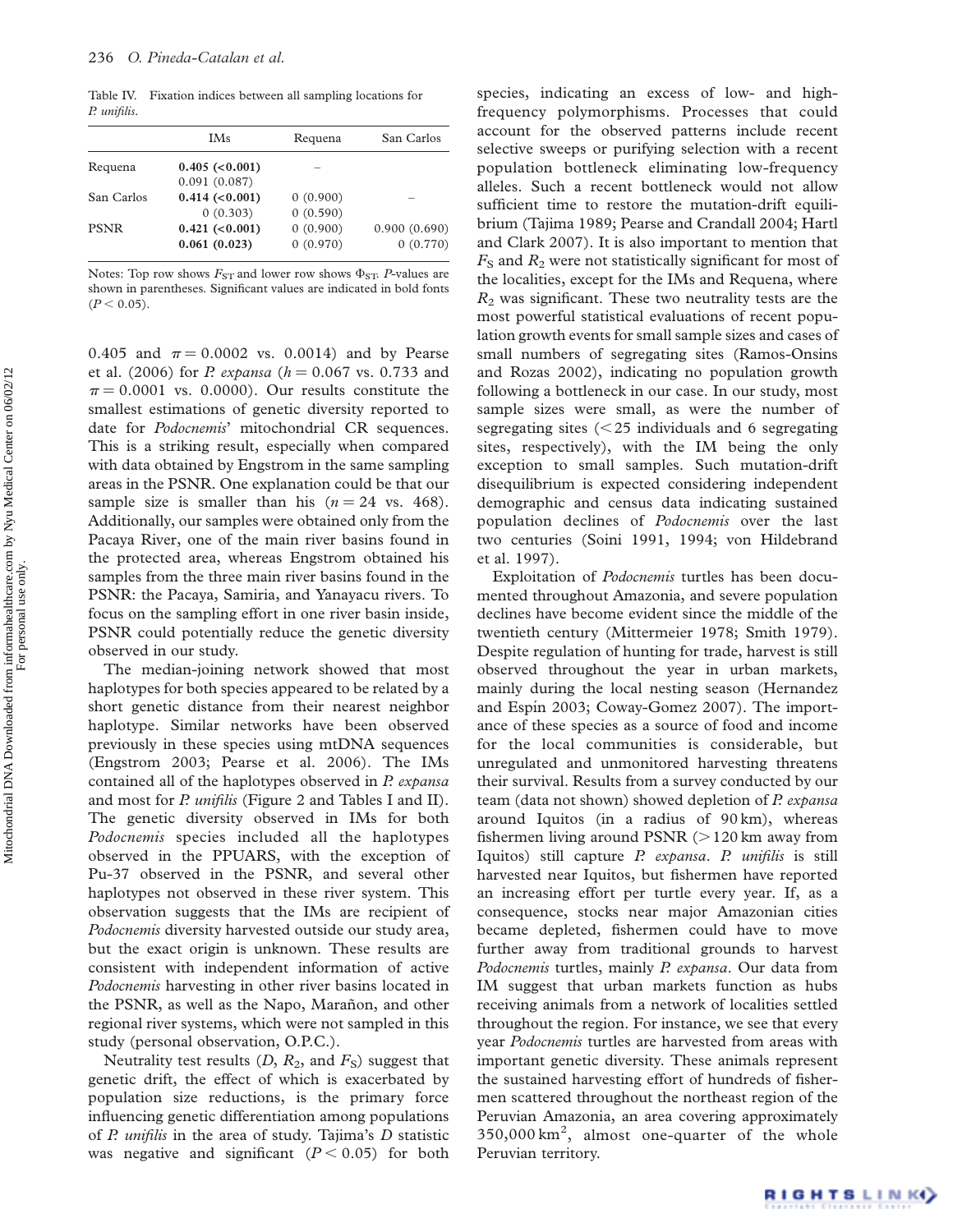Table IV. Fixation indices between all sampling locations for P. unifilis.

| <b>IMs</b>      | Requena  | San Carlos   |
|-----------------|----------|--------------|
| 0.405 (< 0.001) |          |              |
| 0.091(0.087)    |          |              |
| 0.414 (< 0.001) | 0(0.900) |              |
| 0(0.303)        | 0(0.590) |              |
| 0.421 (< 0.001) | 0(0.900) | 0.900(0.690) |
| 0.061(0.023)    | 0(0.970) | 0(0.770)     |
|                 |          |              |

Notes: Top row shows  $F_{ST}$  and lower row shows  $\Phi_{ST}$ . P-values are shown in parentheses. Significant values are indicated in bold fonts  $(P < 0.05)$ .

0.405 and  $\pi = 0.0002$  vs. 0.0014) and by Pearse et al. (2006) for *P. expansa* ( $h = 0.067$  vs. 0.733 and  $\pi$  = 0.0001 vs. 0.0000). Our results constitute the smallest estimations of genetic diversity reported to date for Podocnemis' mitochondrial CR sequences. This is a striking result, especially when compared with data obtained by Engstrom in the same sampling areas in the PSNR. One explanation could be that our sample size is smaller than his  $(n = 24 \text{ vs. } 468)$ . Additionally, our samples were obtained only from the Pacaya River, one of the main river basins found in the protected area, whereas Engstrom obtained his samples from the three main river basins found in the PSNR: the Pacaya, Samiria, and Yanayacu rivers. To focus on the sampling effort in one river basin inside, PSNR could potentially reduce the genetic diversity observed in our study.

The median-joining network showed that most haplotypes for both species appeared to be related by a short genetic distance from their nearest neighbor haplotype. Similar networks have been observed previously in these species using mtDNA sequences (Engstrom 2003; Pearse et al. 2006). The IMs contained all of the haplotypes observed in P. expansa and most for P. unifilis (Figure 2 and Tables I and II). The genetic diversity observed in IMs for both Podocnemis species included all the haplotypes observed in the PPUARS, with the exception of Pu-37 observed in the PSNR, and several other haplotypes not observed in these river system. This observation suggests that the IMs are recipient of Podocnemis diversity harvested outside our study area, but the exact origin is unknown. These results are consistent with independent information of active Podocnemis harvesting in other river basins located in the PSNR, as well as the Napo, Marañon, and other regional river systems, which were not sampled in this study (personal observation, O.P.C.).

Neutrality test results  $(D, R_2,$  and  $F_S$ ) suggest that genetic drift, the effect of which is exacerbated by population size reductions, is the primary force influencing genetic differentiation among populations of  $P$ . *unifilis* in the area of study. Tajima's  $D$  statistic was negative and significant  $(P < 0.05)$  for both

species, indicating an excess of low- and highfrequency polymorphisms. Processes that could account for the observed patterns include recent selective sweeps or purifying selection with a recent population bottleneck eliminating low-frequency alleles. Such a recent bottleneck would not allow sufficient time to restore the mutation-drift equilibrium (Tajima 1989; Pearse and Crandall 2004; Hartl and Clark 2007). It is also important to mention that  $F<sub>S</sub>$  and  $R<sub>2</sub>$  were not statistically significant for most of the localities, except for the IMs and Requena, where  $R<sub>2</sub>$  was significant. These two neutrality tests are the most powerful statistical evaluations of recent population growth events for small sample sizes and cases of small numbers of segregating sites (Ramos-Onsins and Rozas 2002), indicating no population growth following a bottleneck in our case. In our study, most sample sizes were small, as were the number of segregating sites  $(<$  25 individuals and 6 segregating sites, respectively), with the IM being the only exception to small samples. Such mutation-drift disequilibrium is expected considering independent demographic and census data indicating sustained population declines of Podocnemis over the last two centuries (Soini 1991, 1994; von Hildebrand et al. 1997).

Exploitation of Podocnemis turtles has been documented throughout Amazonia, and severe population declines have become evident since the middle of the twentieth century (Mittermeier 1978; Smith 1979). Despite regulation of hunting for trade, harvest is still observed throughout the year in urban markets, mainly during the local nesting season (Hernandez and Espín 2003; Coway-Gomez 2007). The importance of these species as a source of food and income for the local communities is considerable, but unregulated and unmonitored harvesting threatens their survival. Results from a survey conducted by our team (data not shown) showed depletion of P. expansa around Iquitos (in a radius of 90 km), whereas fishermen living around PSNR  $(>120 \text{ km})$  away from Iquitos) still capture P. expansa. P. unifilis is still harvested near Iquitos, but fishermen have reported an increasing effort per turtle every year. If, as a consequence, stocks near major Amazonian cities became depleted, fishermen could have to move further away from traditional grounds to harvest Podocnemis turtles, mainly P. expansa. Our data from IM suggest that urban markets function as hubs receiving animals from a network of localities settled throughout the region. For instance, we see that every year Podocnemis turtles are harvested from areas with important genetic diversity. These animals represent the sustained harvesting effort of hundreds of fishermen scattered throughout the northeast region of the Peruvian Amazonia, an area covering approximately 350,000 km<sup>2</sup> , almost one-quarter of the whole Peruvian territory.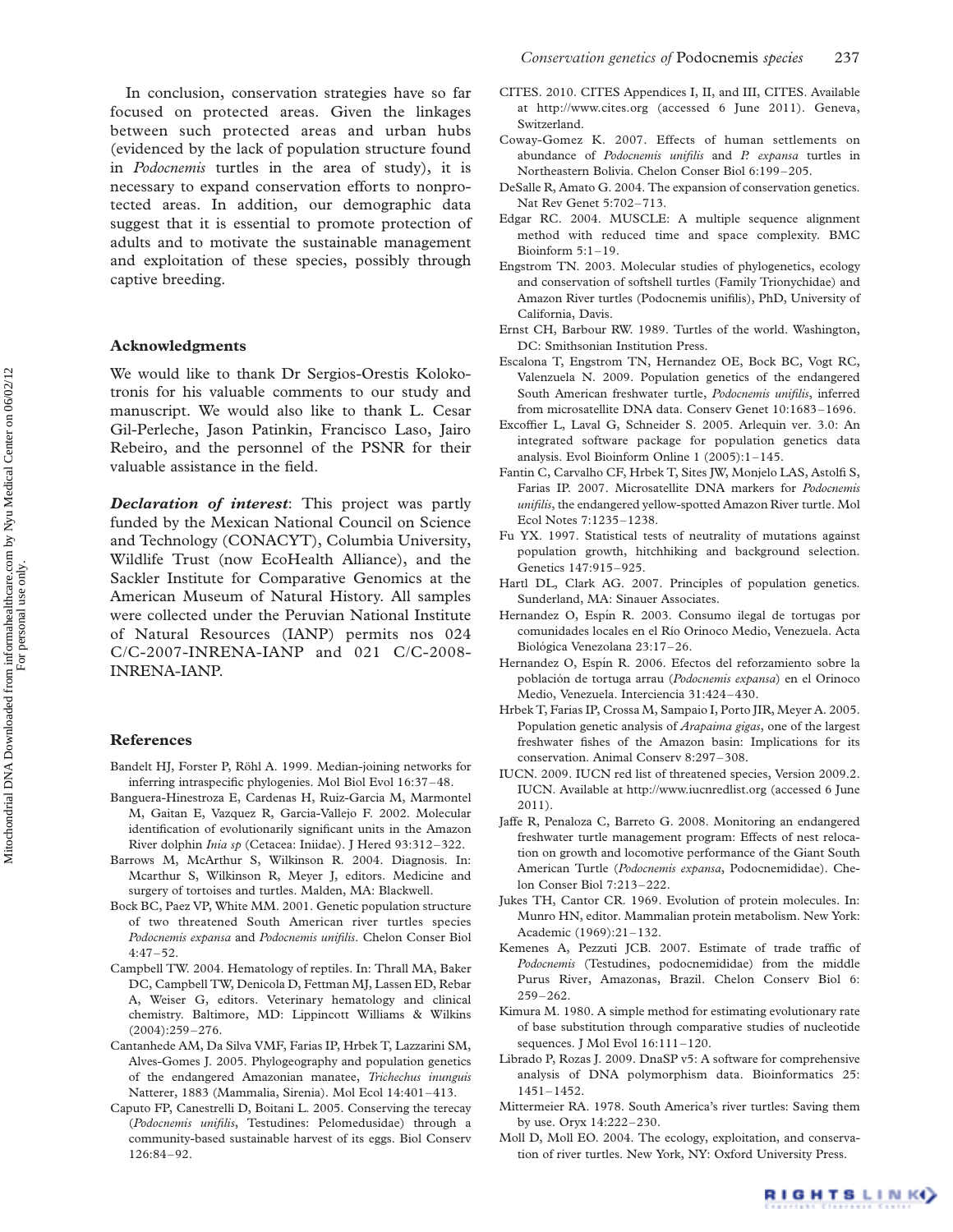In conclusion, conservation strategies have so far focused on protected areas. Given the linkages between such protected areas and urban hubs (evidenced by the lack of population structure found in Podocnemis turtles in the area of study), it is necessary to expand conservation efforts to nonprotected areas. In addition, our demographic data suggest that it is essential to promote protection of adults and to motivate the sustainable management and exploitation of these species, possibly through captive breeding.

#### Acknowledgments

We would like to thank Dr Sergios-Orestis Kolokotronis for his valuable comments to our study and manuscript. We would also like to thank L. Cesar Gil-Perleche, Jason Patinkin, Francisco Laso, Jairo Rebeiro, and the personnel of the PSNR for their valuable assistance in the field.

**Declaration of interest**: This project was partly funded by the Mexican National Council on Science and Technology (CONACYT), Columbia University, Wildlife Trust (now EcoHealth Alliance), and the Sackler Institute for Comparative Genomics at the American Museum of Natural History. All samples were collected under the Peruvian National Institute of Natural Resources (IANP) permits nos 024 C/C-2007-INRENA-IANP and 021 C/C-2008- INRENA-IANP.

#### References

- Bandelt HJ, Forster P, Röhl A. 1999. Median-joining networks for inferring intraspecific phylogenies. Mol Biol Evol 16:37–48.
- Banguera-Hinestroza E, Cardenas H, Ruiz-Garcia M, Marmontel M, Gaitan E, Vazquez R, Garcia-Vallejo F. 2002. Molecular identification of evolutionarily significant units in the Amazon River dolphin Inia sp (Cetacea: Iniidae). J Hered 93:312–322.
- Barrows M, McArthur S, Wilkinson R. 2004. Diagnosis. In: Mcarthur S, Wilkinson R, Meyer J, editors. Medicine and surgery of tortoises and turtles. Malden, MA: Blackwell.
- Bock BC, Paez VP, White MM. 2001. Genetic population structure of two threatened South American river turtles species Podocnemis expansa and Podocnemis unifilis. Chelon Conser Biol 4:47–52.
- Campbell TW. 2004. Hematology of reptiles. In: Thrall MA, Baker DC, Campbell TW, Denicola D, Fettman MJ, Lassen ED, Rebar A, Weiser G, editors. Veterinary hematology and clinical chemistry. Baltimore, MD: Lippincott Williams & Wilkins (2004):259–276.
- Cantanhede AM, Da Silva VMF, Farias IP, Hrbek T, Lazzarini SM, Alves-Gomes J. 2005. Phylogeography and population genetics of the endangered Amazonian manatee, Trichechus inunguis Natterer, 1883 (Mammalia, Sirenia). Mol Ecol 14:401–413.
- Caputo FP, Canestrelli D, Boitani L. 2005. Conserving the terecay (Podocnemis unifilis, Testudines: Pelomedusidae) through a community-based sustainable harvest of its eggs. Biol Conserv 126:84–92.
- CITES. 2010. CITES Appendices I, II, and III, CITES. Available at http://www.cites.org (accessed 6 June 2011). Geneva, Switzerland.
- Coway-Gomez K. 2007. Effects of human settlements on abundance of Podocnemis unifilis and P. expansa turtles in Northeastern Bolivia. Chelon Conser Biol 6:199–205.
- DeSalle R, Amato G. 2004. The expansion of conservation genetics. Nat Rev Genet 5:702–713.
- Edgar RC. 2004. MUSCLE: A multiple sequence alignment method with reduced time and space complexity. BMC Bioinform 5:1–19.
- Engstrom TN. 2003. Molecular studies of phylogenetics, ecology and conservation of softshell turtles (Family Trionychidae) and Amazon River turtles (Podocnemis unifilis), PhD, University of California, Davis.
- Ernst CH, Barbour RW. 1989. Turtles of the world. Washington, DC: Smithsonian Institution Press.
- Escalona T, Engstrom TN, Hernandez OE, Bock BC, Vogt RC, Valenzuela N. 2009. Population genetics of the endangered South American freshwater turtle, Podocnemis unifilis, inferred from microsatellite DNA data. Conserv Genet 10:1683–1696.
- Excoffier L, Laval G, Schneider S. 2005. Arlequin ver. 3.0: An integrated software package for population genetics data analysis. Evol Bioinform Online 1 (2005):1–145.
- Fantin C, Carvalho CF, Hrbek T, Sites JW, Monjelo LAS, Astolfi S, Farias IP. 2007. Microsatellite DNA markers for Podocnemis unifilis, the endangered yellow-spotted Amazon River turtle. Mol Ecol Notes 7:1235–1238.
- Fu YX. 1997. Statistical tests of neutrality of mutations against population growth, hitchhiking and background selection. Genetics 147:915–925.
- Hartl DL, Clark AG. 2007. Principles of population genetics. Sunderland, MA: Sinauer Associates.
- Hernandez O, Espín R. 2003. Consumo ilegal de tortugas por comunidades locales en el Rı´o Orinoco Medio, Venezuela. Acta Biológica Venezolana 23:17-26.
- Hernandez O, Espín R. 2006. Efectos del reforzamiento sobre la población de tortuga arrau (Podocnemis expansa) en el Orinoco Medio, Venezuela. Interciencia 31:424–430.
- Hrbek T, Farias IP, Crossa M, Sampaio I, Porto JIR, Meyer A. 2005. Population genetic analysis of Arapaima gigas, one of the largest freshwater fishes of the Amazon basin: Implications for its conservation. Animal Conserv 8:297–308.
- IUCN. 2009. IUCN red list of threatened species, Version 2009.2. IUCN. Available at http://www.iucnredlist.org (accessed 6 June 2011).
- Jaffe R, Penaloza C, Barreto G. 2008. Monitoring an endangered freshwater turtle management program: Effects of nest relocation on growth and locomotive performance of the Giant South American Turtle (Podocnemis expansa, Podocnemididae). Chelon Conser Biol 7:213–222.
- Jukes TH, Cantor CR. 1969. Evolution of protein molecules. In: Munro HN, editor. Mammalian protein metabolism. New York: Academic (1969):21–132.
- Kemenes A, Pezzuti JCB. 2007. Estimate of trade traffic of Podocnemis (Testudines, podocnemididae) from the middle Purus River, Amazonas, Brazil. Chelon Conserv Biol 6: 259–262.
- Kimura M. 1980. A simple method for estimating evolutionary rate of base substitution through comparative studies of nucleotide sequences. J Mol Evol 16:111–120.
- Librado P, Rozas J. 2009. DnaSP v5: A software for comprehensive analysis of DNA polymorphism data. Bioinformatics 25: 1451–1452.
- Mittermeier RA. 1978. South America's river turtles: Saving them by use. Oryx 14:222–230.
- Moll D, Moll EO. 2004. The ecology, exploitation, and conservation of river turtles. New York, NY: Oxford University Press.